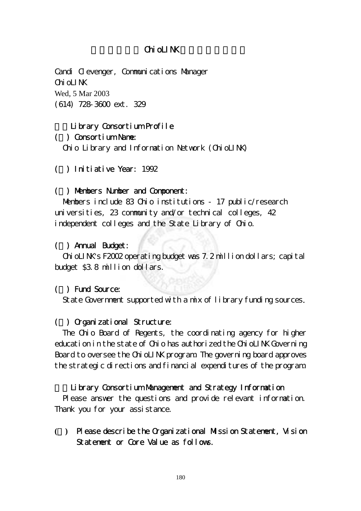# Chi oLINK

Candi Clevenger, Communications Manager  $Chi$ ol  $I$ NK Wed, 5 Mar 2003 (614) 728-3600 ext. 329

### Library Consortium Profile

#### (一) Consortium Name:

Ohio Library and Information Network (OhioLINK)

# (二) Initiative Year: 1992

#### (三) Members Number and Component:

Members include 83 Ohio institutions - 17 public/research universities, 23 community and/or technical colleges, 42 independent colleges and the State Library of Chio.

#### (四) Annual Budget:

 OhioLINK's F2002 operating budget was 7.2 million dollars; capital budget \$3.8 million dollars.

#### ( ) Fund Source:

State Government supported with a mix of library funding sources.

### (六) Organizational Structure:

 The Ohio Board of Regents, the coordinating agency for higher education in the state of Ohio has authorized the OhioLINK Governing Board to oversee the ChioLINK program. The governing board approves the strategic directions and financial expenditures of the program.

#### Library Consortium Management and Strategy Information

 Please answer the questions and provide relevant information. Thank you for your assistance.

**(**一**)** Please describe the Organizational Mission Statement, Vision Statement or Core Value as follows.